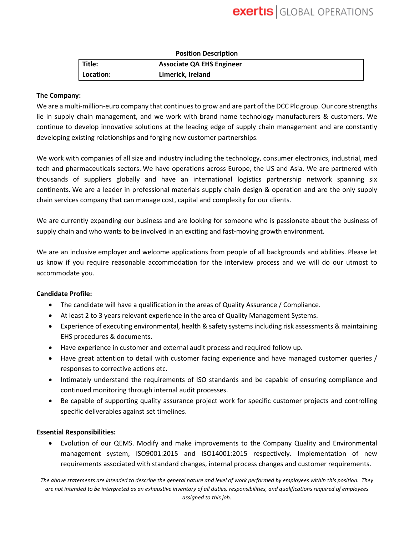| <b>Position Description</b> |                                  |  |
|-----------------------------|----------------------------------|--|
| Title:                      | <b>Associate QA EHS Engineer</b> |  |
| Location:                   | Limerick, Ireland                |  |

### **The Company:**

We are a multi-million-euro company that continues to grow and are part of the DCC Plc group. Our core strengths lie in supply chain management, and we work with brand name technology manufacturers & customers. We continue to develop innovative solutions at the leading edge of supply chain management and are constantly developing existing relationships and forging new customer partnerships.

We work with companies of all size and industry including the technology, consumer electronics, industrial, med tech and pharmaceuticals sectors. We have operations across Europe, the US and Asia. We are partnered with thousands of suppliers globally and have an international logistics partnership network spanning six continents. We are a leader in professional materials supply chain design & operation and are the only supply chain services company that can manage cost, capital and complexity for our clients.

We are currently expanding our business and are looking for someone who is passionate about the business of supply chain and who wants to be involved in an exciting and fast-moving growth environment.

We are an inclusive employer and welcome applications from people of all backgrounds and abilities. Please let us know if you require reasonable accommodation for the interview process and we will do our utmost to accommodate you.

## **Candidate Profile:**

- The candidate will have a qualification in the areas of Quality Assurance / Compliance.
- At least 2 to 3 years relevant experience in the area of Quality Management Systems.
- Experience of executing environmental, health & safety systems including risk assessments & maintaining EHS procedures & documents.
- Have experience in customer and external audit process and required follow up.
- Have great attention to detail with customer facing experience and have managed customer queries / responses to corrective actions etc.
- Intimately understand the requirements of ISO standards and be capable of ensuring compliance and continued monitoring through internal audit processes.
- Be capable of supporting quality assurance project work for specific customer projects and controlling specific deliverables against set timelines.

### **Essential Responsibilities:**

• Evolution of our QEMS. Modify and make improvements to the Company Quality and Environmental management system, ISO9001:2015 and ISO14001:2015 respectively. Implementation of new requirements associated with standard changes, internal process changes and customer requirements.

*The above statements are intended to describe the general nature and level of work performed by employees within this position. They are not intended to be interpreted as an exhaustive inventory of all duties, responsibilities, and qualifications required of employees assigned to this job.*